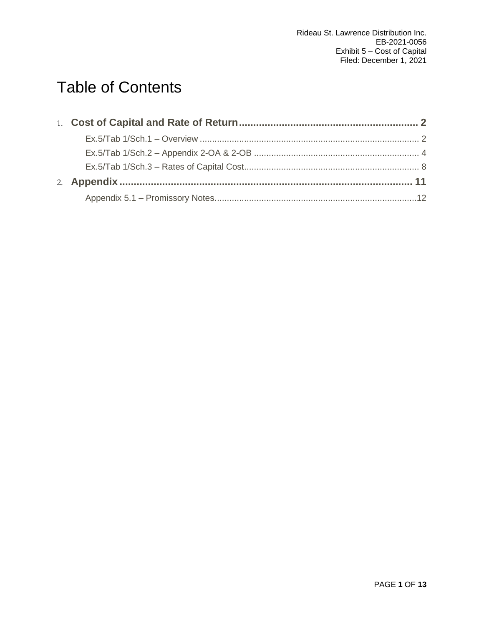# Table of Contents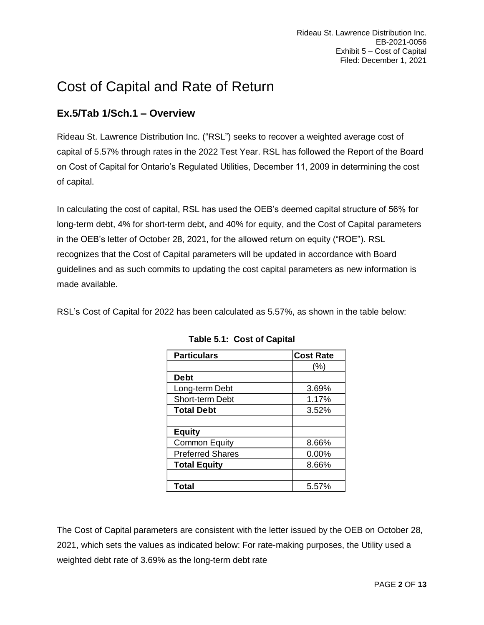# <span id="page-1-0"></span>Cost of Capital and Rate of Return

# <span id="page-1-1"></span>**Ex.5/Tab 1/Sch.1 – Overview**

Rideau St. Lawrence Distribution Inc. ("RSL") seeks to recover a weighted average cost of capital of 5.57% through rates in the 2022 Test Year. RSL has followed the Report of the Board on Cost of Capital for Ontario's Regulated Utilities, December 11, 2009 in determining the cost of capital.

In calculating the cost of capital, RSL has used the OEB's deemed capital structure of 56% for long-term debt, 4% for short-term debt, and 40% for equity, and the Cost of Capital parameters in the OEB's letter of October 28, 2021, for the allowed return on equity ("ROE"). RSL recognizes that the Cost of Capital parameters will be updated in accordance with Board guidelines and as such commits to updating the cost capital parameters as new information is made available.

RSL's Cost of Capital for 2022 has been calculated as 5.57%, as shown in the table below:

| <b>Particulars</b>      | <b>Cost Rate</b> |
|-------------------------|------------------|
|                         | $(\% )$          |
| <b>Debt</b>             |                  |
| Long-term Debt          | 3.69%            |
| <b>Short-term Debt</b>  | 1.17%            |
| <b>Total Debt</b>       | 3.52%            |
|                         |                  |
| <b>Equity</b>           |                  |
| <b>Common Equity</b>    | 8.66%            |
| <b>Preferred Shares</b> | $0.00\%$         |
| <b>Total Equity</b>     | 8.66%            |
|                         |                  |
| Total                   | 5.57%            |

**Table 5.1: Cost of Capital** 

The Cost of Capital parameters are consistent with the letter issued by the OEB on October 28, 2021, which sets the values as indicated below: For rate-making purposes, the Utility used a weighted debt rate of 3.69% as the long-term debt rate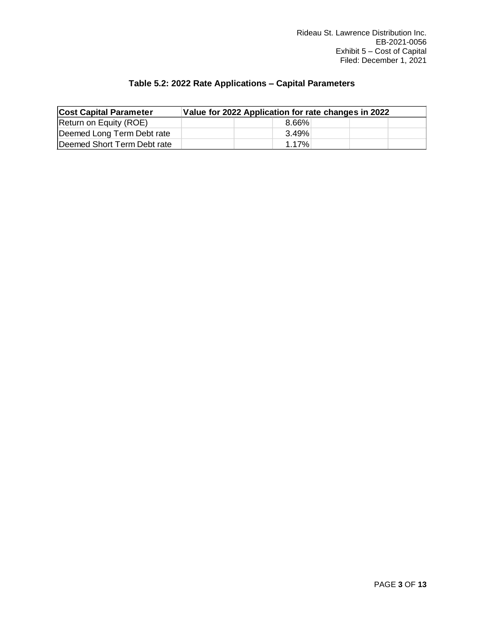# **Table 5.2: 2022 Rate Applications – Capital Parameters**

| <b>Cost Capital Parameter</b> | Value for 2022 Application for rate changes in 2022 |  |          |  |  |  |  |  |
|-------------------------------|-----------------------------------------------------|--|----------|--|--|--|--|--|
| Return on Equity (ROE)        |                                                     |  | $8.66\%$ |  |  |  |  |  |
| Deemed Long Term Debt rate    |                                                     |  | $3.49\%$ |  |  |  |  |  |
| Deemed Short Term Debt rate   |                                                     |  | 1 17%    |  |  |  |  |  |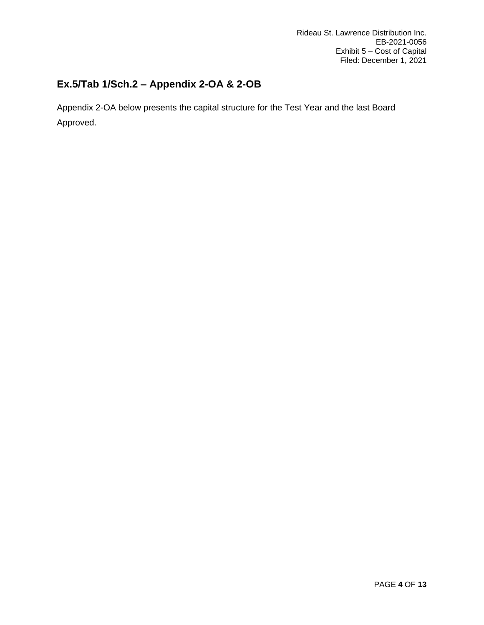# <span id="page-3-0"></span>**Ex.5/Tab 1/Sch.2 – Appendix 2-OA & 2-OB**

Appendix 2-OA below presents the capital structure for the Test Year and the last Board Approved.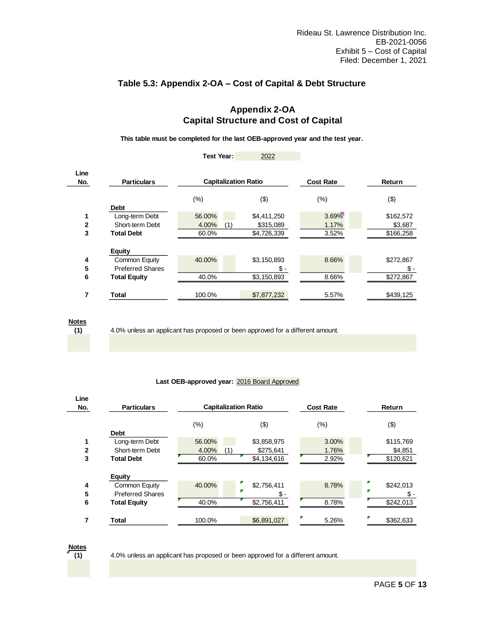# **Table 5.3: Appendix 2-OA – Cost of Capital & Debt Structure**

# **Appendix 2-OA Capital Structure and Cost of Capital**

**This table must be completed for the last OEB-approved year and the test year.**

|              |                         | Test Year:                  | 2022        |                  |           |
|--------------|-------------------------|-----------------------------|-------------|------------------|-----------|
| Line<br>No.  | <b>Particulars</b>      | <b>Capitalization Ratio</b> |             | <b>Cost Rate</b> | Return    |
|              |                         | (% )                        | (3)         | (%)              | (3)       |
|              | <b>Debt</b>             |                             |             |                  |           |
| 1            | Long-term Debt          | 56.00%                      | \$4,411,250 | 3.69%            | \$162,572 |
| $\mathbf{2}$ | Short-term Debt         | 4.00%<br>(1)                | \$315,089   | 1.17%            | \$3,687   |
| 3            | <b>Total Debt</b>       | 60.0%                       | \$4,726,339 | 3.52%            | \$166,258 |
|              | <b>Equity</b>           |                             |             |                  |           |
| 4            | Common Equity           | 40.00%                      | \$3,150,893 | 8.66%            | \$272,867 |
| 5            | <b>Preferred Shares</b> |                             | Տ.-         |                  | Տ.-       |
| 6            | <b>Total Equity</b>     | 40.0%                       | \$3,150,893 | 8.66%            | \$272,867 |
| 7            | Total                   | 100.0%                      | \$7,877,232 | 5.57%            | \$439,125 |

**Notes**

**(1)**

4.0% unless an applicant has proposed or been approved for a different amount.

### **Last OEB-approved year:** 2016 Board Approved

| Line<br>No.  | <b>Particulars</b>      |              | <b>Capitalization Ratio</b> | <b>Cost Rate</b> | Return         |  |  |
|--------------|-------------------------|--------------|-----------------------------|------------------|----------------|--|--|
|              | <b>Debt</b>             | $(\% )$      | (3)                         | $(\%)$           | (3)            |  |  |
| 1            | Long-term Debt          | 56.00%       | \$3,858,975                 | 3.00%            | \$115,769      |  |  |
| $\mathbf{2}$ | Short-term Debt         | 4.00%<br>(1` | \$275,641                   | 1.76%            | \$4,851        |  |  |
| 3            | <b>Total Debt</b>       | 60.0%        | \$4,134,616                 | 2.92%            | \$120,621      |  |  |
| 4            | Equity<br>Common Equity | 40.00%       | \$2,756,411<br>Р            | 8.78%            | \$242.013<br>P |  |  |
| 5            | <b>Preferred Shares</b> |              | Տ.-                         |                  | Տ.-            |  |  |
| 6            | <b>Total Equity</b>     | 40.0%        | \$2,756,411                 | 8.78%            | \$242,013      |  |  |
| 7            | Total                   | 100.0%       | \$6,891,027                 | Г<br>5.26%       | Ζ<br>\$362,633 |  |  |

**(1) Notes**

4.0% unless an applicant has proposed or been approved for a different amount.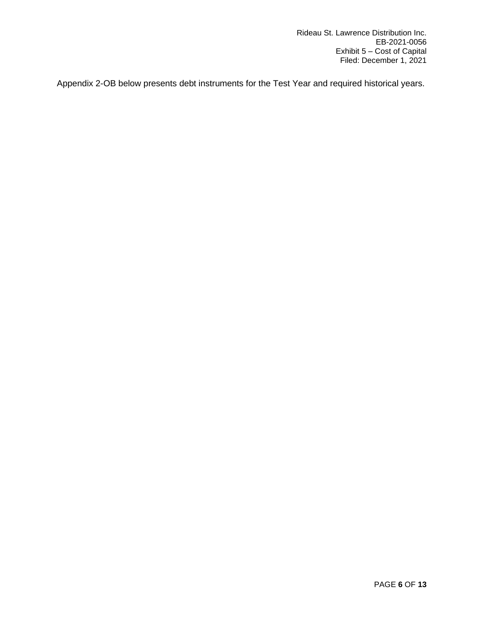Appendix 2-OB below presents debt instruments for the Test Year and required historical years.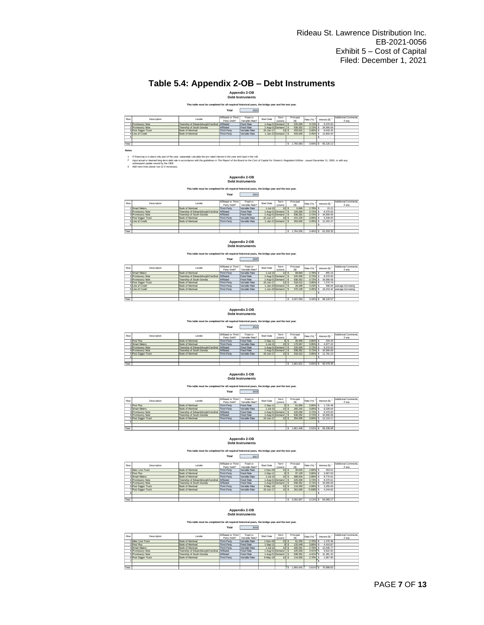# **Table 5.4: Appendix 2-OB – Debt Instruments**

**Appendix 2-OB Debt Instruments**

### **This table must be completed for all required historical years, the bridge year and the test year.**<br>Year 7022

| Row   | Description         | Lender                                       | Affiliated or Third- | Fixed or          | Start Date | Term               | Principal | Rate (%) | Interest (\$) | Additional Comments. |
|-------|---------------------|----------------------------------------------|----------------------|-------------------|------------|--------------------|-----------|----------|---------------|----------------------|
|       |                     |                                              | Party Debt?          | Variable-Rate?    |            | (years)            | 'S)       |          |               | if any               |
|       | Promissory Note     | Township of Edwardsburgh/Cardinal Affiliated |                      | <b>Fixed Rate</b> |            | 1-Aug-01 Demand \$ | 225,000   | 3.72%    | 8.370.00      |                      |
|       | 2 Promissory Note   | Township of South Dundas                     | Affiliated           | <b>Fixed Rate</b> |            | 1-Aug-01 Demand    | 938.352   | 3.72%    | 34,906.69     |                      |
|       | 3 Posi Digger Truck | Bank of Montreal                             | Third-Party          | Variable Rate     | 15-Jun-17  | 10 <sup>1</sup>    | 203.631   | 3.95%    | 8.043.42      |                      |
|       | 4 Line of Credit    | <b>Bank of Montreal</b>                      | Third-Party          | Variable Rate     |            | 1-Jan-22 Demand \$ | 400.000   | 3.45%    | 13,800.00     |                      |
|       |                     |                                              |                      |                   |            |                    |           |          |               |                      |
|       |                     |                                              |                      |                   |            |                    |           |          |               |                      |
| Total |                     |                                              |                      |                   |            |                    | .766.983  | 3.69%    | 65.120.12     |                      |

**Notes**

 $\frac{1}{2}$ 2 lf financing is in place only part of the year separately calculate the pro-rated interest in the year and input in the cell.<br>Input actual or deemed tong-term debt rate in accordance with the guidelines in The Report of or

3 Add more lines above row 12 if necessary. subsequent update issued by the OEB.

**Appendix 2-OB Debt Instruments**

## **This table must be completed for all required historical years, the bridge year and the test year.**<br>Year 2021

|       |                     |                                              | -----                               | ---                        |                 |                 |                  |          |               |                                |
|-------|---------------------|----------------------------------------------|-------------------------------------|----------------------------|-----------------|-----------------|------------------|----------|---------------|--------------------------------|
|       |                     |                                              |                                     |                            |                 |                 |                  |          |               |                                |
| Row   | Description         | Lender                                       | Affiliated or Third-<br>Party Debt? | Fixed or<br>Variable-Rate? | Start Date      | Term<br>(vears) | Principal<br>(S) | Rate (%) | Interest (\$) | Additional Comments.<br>if any |
|       | Smart Meters        | Bank of Montreal                             | Third-Party                         | Variable Rate              | $1 -$ Jul-10    | $10$ $\bar{s}$  | 6,666            | 2.78%    | 15.21         |                                |
|       | 2 Promissory Note   | Township of Edwardsburgh/Cardinal Affiliated |                                     | <b>Fixed Rate</b>          |                 | 1-Aug-01 Demand | 225,000          | 3.72%    | 8.370.00      |                                |
|       | 3 Promissory Note   | Township of South Dundas                     | Affiliated                          | <b>Fixed Rate</b>          | 1-Aug-01 Demand |                 | 938.352          | 3.72%    | 34.906.69     |                                |
|       | 4 Posi Digger Truck | Bank of Montreal                             | Third-Party                         | Variable Rate              | 15-Jun-17       | 10 <sub>1</sub> | 241.225          | 3.95%    | 5.539.05      |                                |
|       | 5 Line of Credit    | Bank of Montreal                             | Third-Party                         | Variable Rate              |                 | 1-Jan-21 Demand | 353.692          | 3.45%    | 12.202.37     |                                |
|       |                     |                                              |                                     |                            |                 |                 |                  |          |               |                                |
|       |                     |                                              |                                     |                            |                 |                 |                  |          |               |                                |
| Total |                     |                                              |                                     |                            |                 |                 | 1.764.935        | 3.46% S  | 61.033.33     |                                |

**Debt Instruments Appendix 2-OB**

#### **This table must be completed for all required historical years, the bridge year and the test year.**

| Row   | <b>Description</b>  | Lender                                       | Affiliated or Third- | Fixed or       | Start Date   | Term                 | Principal |            |               | Additional Comments.        |
|-------|---------------------|----------------------------------------------|----------------------|----------------|--------------|----------------------|-----------|------------|---------------|-----------------------------|
|       |                     |                                              | Party Debt?          | Variable-Rate? |              | (years)              | (S)       | Rate (%)   | Interest (\$) | if any                      |
|       | Smart Meters        | Bank of Montreal                             | Third-Party          | Variable Rate  | $1 -$ Jul-10 | 10 <sup>15</sup>     | 68,893    | 2.78% S    | 855.16        |                             |
|       | 2 Promissory Note   | Township of Edwardsburgh/Cardinal Affiliated |                      | Fixed Rate     |              | 1-Aug-01 Demand S    | 225,000   | 3.72% S    | 8.370.00      |                             |
|       | 3 Promissory Note   | Township of South Dundas                     | Affiliated           | Fixed Rate     |              | 1-Aug-01 Demand      | 938.352   | 3.72%      | 34,906.69     |                             |
|       | 4 Posi Digger Truck | Bank of Montreal                             | Third-Party          | Variable Rate  | 15-Jun-17    | $10$ s               | 316.412   | 3.95% S    | 7.270.74      |                             |
|       | 5 Line of Credit    | Bank of Montreal                             | Third-Party          | Variable Rate  |              | 1-Jan-20 Demand S    | 28.268    | 4.23% S    |               | 498.56 average borrowing    |
|       | 6 Line of Credit    | Bank of Montreal                             | Third-Party          | Variable Rate  |              | 1-Jun-20 Demand   \$ | 470.128   | $3.45%$ \$ |               | 16.219.42 average borrowing |
|       |                     |                                              |                      |                |              |                      |           |            |               |                             |
|       |                     |                                              |                      |                |              |                      |           |            |               |                             |
| Total |                     |                                              |                      |                |              |                      | 2.047.053 | 3.33% S    | 68.120.57     |                             |

#### **Appendix 2-OB Debt Instruments**

**This table must be completed for all required historical years, the bridge year and the test year.**<br>Year 2019

| Row   | Description         | Lender                                       | Affiliated or Third-<br>Party Debt? | Fixed or<br>Variable-Rate? | Start Date      | Term<br>(years) | Principal<br>(S) | Rate (%)  | Interest (\$)            | Additional Comments.<br>if any |
|-------|---------------------|----------------------------------------------|-------------------------------------|----------------------------|-----------------|-----------------|------------------|-----------|--------------------------|--------------------------------|
|       | Posi Plus           | <b>Bank of Montreal</b>                      | Third-Party                         | <b>Fixed Rate</b>          | $1-Sep-11$      |                 | 26,490           | 3.80% S   | 434.44                   |                                |
|       | 2 Smart Meters      | Bank of Montreal                             | Third-Party                         | Variable Rate              | $1 -$ Jul-10    | 10              | 175,567          | 3.95% S   | 4.977.22                 |                                |
|       | 3 Promissory Note   | Township of Edwardsburgh/Cardinal Affiliated |                                     | <b>Fixed Rate</b>          | 1-Aug-01 Demand |                 | 225,000          | 3.72% S   | 8.370.00                 |                                |
|       | 4 Promissory Note   | Township of South Dundas                     | Affiliated                          | <b>Fixed Rate</b>          |                 | 1-Aug-01 Demand | 938.352          | $3.72%$ S | 34,906.69                |                                |
|       | 5 Posi Digger Truck | <b>Bank of Montreal</b>                      | Third-Party                         | Variable Rate              | 15-Jun-17       | 10 <sup>1</sup> | 316.412          | 3.95% \$  | 11.791.10                |                                |
|       |                     |                                              |                                     |                            |                 |                 |                  |           | $\overline{\phantom{a}}$ |                                |
|       |                     |                                              |                                     |                            |                 |                 |                  |           |                          |                                |
| Total |                     |                                              |                                     |                            |                 |                 | .681.821         | 3.60% S   | 60.479.45                |                                |

#### **Appendix 2-OB Debt Instruments**

**This table must be completed for all required historical years, the bridge year and the test year.**<br>Year 7018

| Row   | Description         | Lender                                       | Affiliated or Third- | Fixed or          | Start Date   | Term              | Principal | Rate (%) <sup>2</sup> | Interest (\$) | Additional Comments. |
|-------|---------------------|----------------------------------------------|----------------------|-------------------|--------------|-------------------|-----------|-----------------------|---------------|----------------------|
|       |                     |                                              | Party Debt?          | Variable-Rate?    |              | (years)           | (S)       |                       |               | if any               |
|       | Posi Plus           | Bank of Montreal                             | Third-Party          | Fixed Rate        | $1-Sep-11$   |                   | 61,809    | 3.80% S               | 1.725.48      |                      |
|       | 2 Smart Meters      | <b>Bank of Montreal</b>                      | Third-Party          | Variable Rate     | $1 -$ Jul-10 | 10 <sup>15</sup>  | 282.242   | 3.60% \$              | 8.326.64      |                      |
|       | 3 Promissory Note   | Township of Edwardsburgh/Cardinal Affiliated |                      | <b>Fixed Rate</b> |              | 1-Aug-01 Demand 3 | 225,000   | $3.72%$ S             | 8.370.00      |                      |
|       | 4 Promissory Note   | Township of South Dundas                     | Affiliated           | <b>Fixed Rate</b> |              | 1-Aug-01 Demand   | 938.352   | 3.72%                 | 34,906.69     |                      |
|       | 5 Posi Digger Truck | Bank of Montreal                             | Third-Party          | Variable Rate     | 15-Jun-17    | 101               | 354,005   | 3.60% S               | 12.110.17     |                      |
|       |                     |                                              |                      |                   |              |                   |           |                       |               |                      |
|       |                     |                                              |                      |                   |              |                   |           |                       |               |                      |
| Total |                     |                                              |                      |                   |              |                   | 1.861.408 | 3.52%                 | 65,438.98     |                      |

#### **Appendix 2-OB Debt Instruments**

**This table must be completed for all required historical years, the bridge year and the test year.**

#### **Year** 2017

| Row   | Description         | Lender                                       | Affiliated or Third- | Fixed or       | Start Date     | Term              | Principal |             | Interest (\$) | Additional Comments. |
|-------|---------------------|----------------------------------------------|----------------------|----------------|----------------|-------------------|-----------|-------------|---------------|----------------------|
|       |                     |                                              | Party Debt?          | Variable-Rate? |                | (years)           | (S)       | Rate (%)    |               | if any               |
|       | Altec Line Truck    | Bank of Montreal                             | Third-Party          | Variable Rate  | $1 - Dec - 09$ | 10 <sup>15</sup>  | 30.625    | 2.89% S     | 453.51        |                      |
|       | 2 Posi Plus         | Bank of Montreal                             | Third-Party          | Fixed Rate     | $1-Sep-11$     | 8!3               | 97.129    | 3.80% S     | 3.067.63      |                      |
|       | 3 Smart Meters      | Bank of Montreal                             | Third-Party          | Variable Rate  | $1 -$ Jul-10   | 10 <sup>15</sup>  | 388.916   | 2.89% S     | 9.770.91      |                      |
|       | 4 Promissory Note   | Township of Edwardsburgh/Cardinal Affiliated |                      | Fixed Rate     |                | 1-Aug-01 Demand S | 225,000   | $3.72%$ S   | 8.370.01      |                      |
|       | 5 Promissory Note   | Township of South Dundas                     | Affiliated           | Fixed Rate     |                | 1-Aug-01 Demand S | 938.352   | $3.72%$ S   | 34,906.69     |                      |
|       | 6 Posi Digger Truck | Bank of Montreal                             | Third-Party          | Variable Rate  | 6-May-16       | 10S               | 114,000   | 2.89% S     | 3.255.60      |                      |
|       | 7 Posi Digger Truck | Bank of Montreal                             | Third-Party          | Variable Rate  | 15-Jun-17      | 10 <sup>15</sup>  | 261.935   | $0.0305$ \$ | 4.244.82      |                      |
|       |                     |                                              |                      |                |                |                   |           |             |               |                      |
|       |                     |                                              |                      |                |                |                   |           |             |               |                      |
| Total |                     |                                              |                      |                |                |                   | 2.055.957 | $3.12%$ S   | 64.069.17     |                      |

#### **Debt Instruments Appendix 2-OB**

## **This table must be completed for all required historical years, the bridge year and the test year.**<br>Year 2016

| Row   | Description         | Lender                                       | Affiliated or Third-<br>Party Debt? | Fixed or<br>Variable-Rate? | Start Date      | Term<br>(years) | Principal<br>(S) | Rate (%) | Interest (\$) | Additional Comments.<br>if any |
|-------|---------------------|----------------------------------------------|-------------------------------------|----------------------------|-----------------|-----------------|------------------|----------|---------------|--------------------------------|
|       | Altec Line Truck    | Bank of Montreal                             | Third-Party                         | Variable Rate              | $1 - Dec - 09$  | ו הו            | 61,250           | 2.70%    | .270.46       |                                |
|       | 2 Posi Plus         | <b>Bank of Montreal</b>                      | Third-Party                         | Fixed Rate                 | $1-Sep-11$      |                 | 132.449          | 3.80%    | 4.410.87      |                                |
|       | 3 Smart Meters      | Bank of Montreal                             | Third-Party                         | Variable Rate              | $1 -$ Jul-10    | 101             | 495.591          | 2.70%    | 12.045.77     |                                |
|       | 4 Promissory Note   | Township of Edwardsburgh/Cardinal Affiliated |                                     | Fixed Rate                 | 1-Aug-01 Demand |                 | 225,000          | 4.41%    | 9.922.50      |                                |
|       | 5 Promissory Note   | Township of South Dundas                     | Affiliated                          | Fixed Rate                 |                 | 1-Aug-01 Demand | 938.352          | 4.41%    | 41.381.32     |                                |
|       | 6 Posi Digger Truck | <b>Bank of Montreal</b>                      | Third-Party                         | Variable Rate              | 6-May-16        | ו הו            | 114,000          | 2.70%    | .967.90       |                                |
|       |                     |                                              |                                     |                            |                 |                 |                  |          | ٠.            |                                |
|       |                     |                                              |                                     |                            |                 |                 |                  |          |               |                                |
| Total |                     |                                              |                                     |                            |                 |                 | 1.966.642        | 3.61%    | 70.998.82     |                                |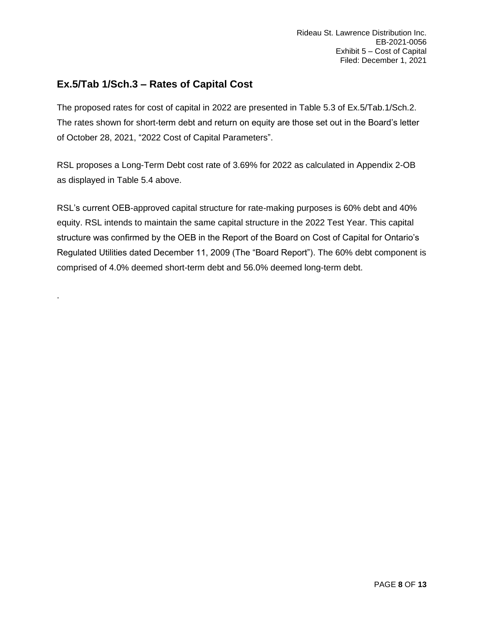# <span id="page-7-0"></span>**Ex.5/Tab 1/Sch.3 – Rates of Capital Cost**

.

The proposed rates for cost of capital in 2022 are presented in Table 5.3 of Ex.5/Tab.1/Sch.2. The rates shown for short-term debt and return on equity are those set out in the Board's letter of October 28, 2021, "2022 Cost of Capital Parameters".

RSL proposes a Long-Term Debt cost rate of 3.69% for 2022 as calculated in Appendix 2-OB as displayed in Table 5.4 above.

RSL's current OEB-approved capital structure for rate-making purposes is 60% debt and 40% equity. RSL intends to maintain the same capital structure in the 2022 Test Year. This capital structure was confirmed by the OEB in the Report of the Board on Cost of Capital for Ontario's Regulated Utilities dated December 11, 2009 (The "Board Report"). The 60% debt component is comprised of 4.0% deemed short-term debt and 56.0% deemed long-term debt.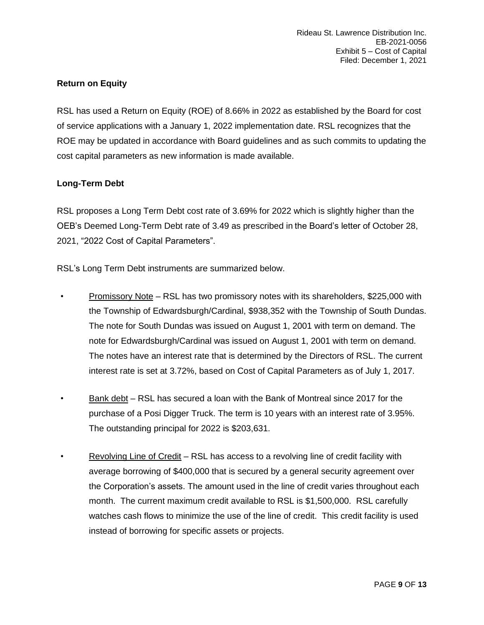# **Return on Equity**

RSL has used a Return on Equity (ROE) of 8.66% in 2022 as established by the Board for cost of service applications with a January 1, 2022 implementation date. RSL recognizes that the ROE may be updated in accordance with Board guidelines and as such commits to updating the cost capital parameters as new information is made available.

# **Long-Term Debt**

RSL proposes a Long Term Debt cost rate of 3.69% for 2022 which is slightly higher than the OEB's Deemed Long-Term Debt rate of 3.49 as prescribed in the Board's letter of October 28, 2021, "2022 Cost of Capital Parameters".

RSL's Long Term Debt instruments are summarized below.

- Promissory Note RSL has two promissory notes with its shareholders, \$225,000 with the Township of Edwardsburgh/Cardinal, \$938,352 with the Township of South Dundas. The note for South Dundas was issued on August 1, 2001 with term on demand. The note for Edwardsburgh/Cardinal was issued on August 1, 2001 with term on demand. The notes have an interest rate that is determined by the Directors of RSL. The current interest rate is set at 3.72%, based on Cost of Capital Parameters as of July 1, 2017.
- Bank debt RSL has secured a loan with the Bank of Montreal since 2017 for the purchase of a Posi Digger Truck. The term is 10 years with an interest rate of 3.95%. The outstanding principal for 2022 is \$203,631.
- Revolving Line of Credit RSL has access to a revolving line of credit facility with average borrowing of \$400,000 that is secured by a general security agreement over the Corporation's assets. The amount used in the line of credit varies throughout each month. The current maximum credit available to RSL is \$1,500,000. RSL carefully watches cash flows to minimize the use of the line of credit. This credit facility is used instead of borrowing for specific assets or projects.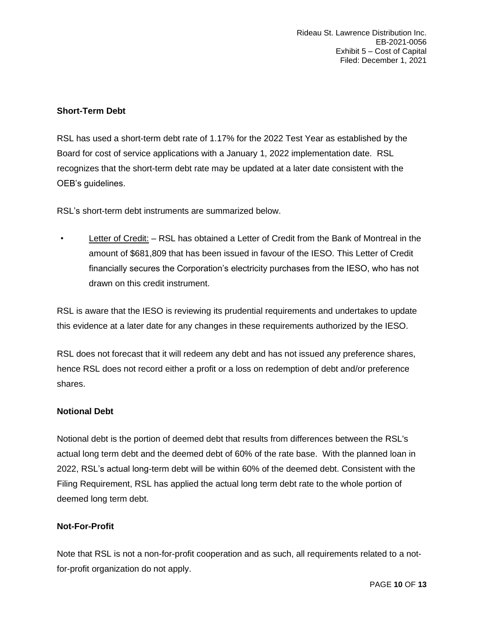# **Short-Term Debt**

RSL has used a short-term debt rate of 1.17% for the 2022 Test Year as established by the Board for cost of service applications with a January 1, 2022 implementation date. RSL recognizes that the short-term debt rate may be updated at a later date consistent with the OEB's guidelines.

RSL's short-term debt instruments are summarized below.

• Letter of Credit: - RSL has obtained a Letter of Credit from the Bank of Montreal in the amount of \$681,809 that has been issued in favour of the IESO. This Letter of Credit financially secures the Corporation's electricity purchases from the IESO, who has not drawn on this credit instrument.

RSL is aware that the IESO is reviewing its prudential requirements and undertakes to update this evidence at a later date for any changes in these requirements authorized by the IESO.

RSL does not forecast that it will redeem any debt and has not issued any preference shares, hence RSL does not record either a profit or a loss on redemption of debt and/or preference shares.

# **Notional Debt**

Notional debt is the portion of deemed debt that results from differences between the RSL's actual long term debt and the deemed debt of 60% of the rate base. With the planned loan in 2022, RSL's actual long-term debt will be within 60% of the deemed debt. Consistent with the Filing Requirement, RSL has applied the actual long term debt rate to the whole portion of deemed long term debt.

# **Not-For-Profit**

Note that RSL is not a non-for-profit cooperation and as such, all requirements related to a notfor-profit organization do not apply.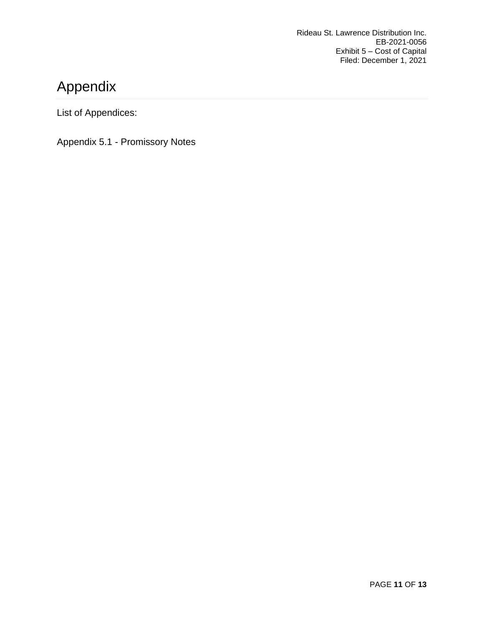# <span id="page-10-0"></span>Appendix

List of Appendices:

Appendix 5.1 - Promissory Notes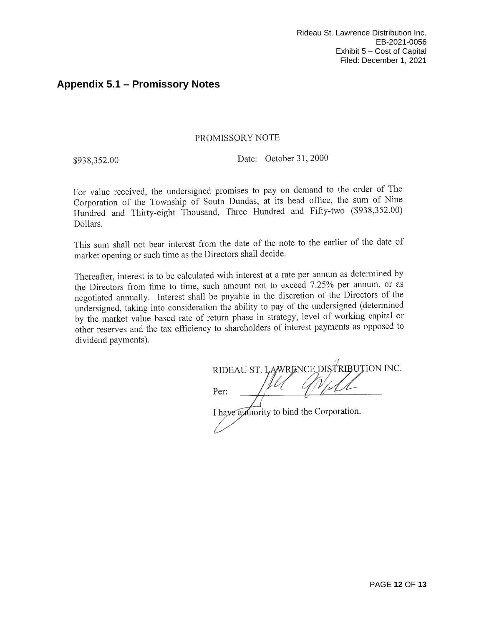# <span id="page-11-0"></span>**Appendix 5.1 – Promissory Notes**

# PROMISSORY NOTE

\$938,352.00

Date: October 31, 2000

For value received, the undersigned promises to pay on demand to the order of The Corporation of the Township of South Dundas, at its head office, the sum of Nine Hundred and Thirty-eight Thousand, Three Hundred and Fifty-two (\$938,352.00) Dollars.

This sum shall not bear interest from the date of the note to the earlier of the date of market opening or such time as the Directors shall decide.

Thereafter, interest is to be calculated with interest at a rate per annum as determined by the Directors from time to time, such amount not to exceed 7.25% per annum, or as negotiated annually. Interest shall be payable in the discretion of the Directors of the undersigned, taking into consideration the ability to pay of the undersigned (determined by the market value based rate of return phase in strategy, level of working capital or other reserves and the tax efficiency to shareholders of interest payments as opposed to dividend payments).

RIDEAU ST. LAWRENCE DISTRIBUTION INC. Per:

I have authority to bind the Corporation.